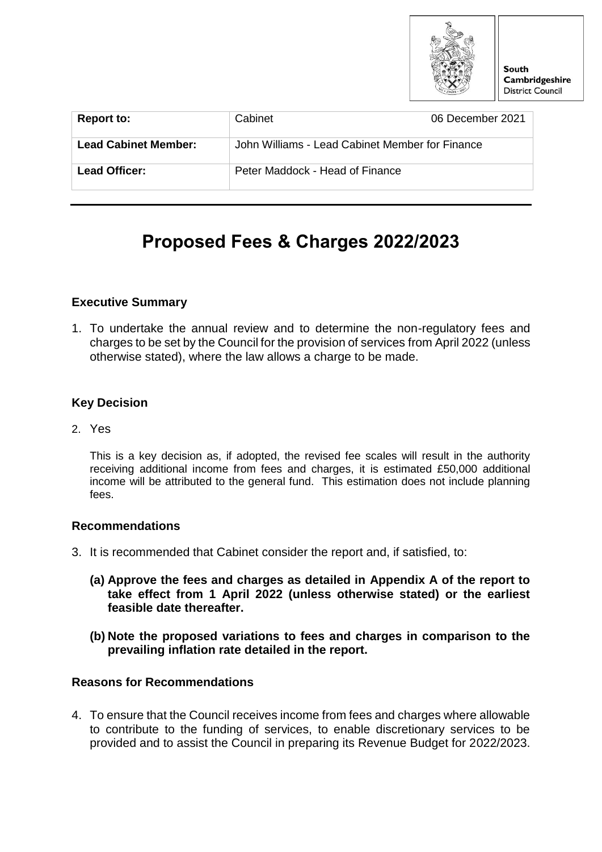

| <b>Report to:</b>           | Cabinet                                         | 06 December 2021 |
|-----------------------------|-------------------------------------------------|------------------|
| <b>Lead Cabinet Member:</b> | John Williams - Lead Cabinet Member for Finance |                  |
| Lead Officer:               | Peter Maddock - Head of Finance                 |                  |

# **Proposed Fees & Charges 2022/2023**

### **Executive Summary**

1. To undertake the annual review and to determine the non-regulatory fees and charges to be set by the Council for the provision of services from April 2022 (unless otherwise stated), where the law allows a charge to be made.

### **Key Decision**

2. Yes

This is a key decision as, if adopted, the revised fee scales will result in the authority receiving additional income from fees and charges, it is estimated £50,000 additional income will be attributed to the general fund. This estimation does not include planning fees.

#### **Recommendations**

- 3. It is recommended that Cabinet consider the report and, if satisfied, to:
	- **(a) Approve the fees and charges as detailed in Appendix A of the report to take effect from 1 April 2022 (unless otherwise stated) or the earliest feasible date thereafter.**
	- **(b) Note the proposed variations to fees and charges in comparison to the prevailing inflation rate detailed in the report.**

### **Reasons for Recommendations**

4. To ensure that the Council receives income from fees and charges where allowable to contribute to the funding of services, to enable discretionary services to be provided and to assist the Council in preparing its Revenue Budget for 2022/2023.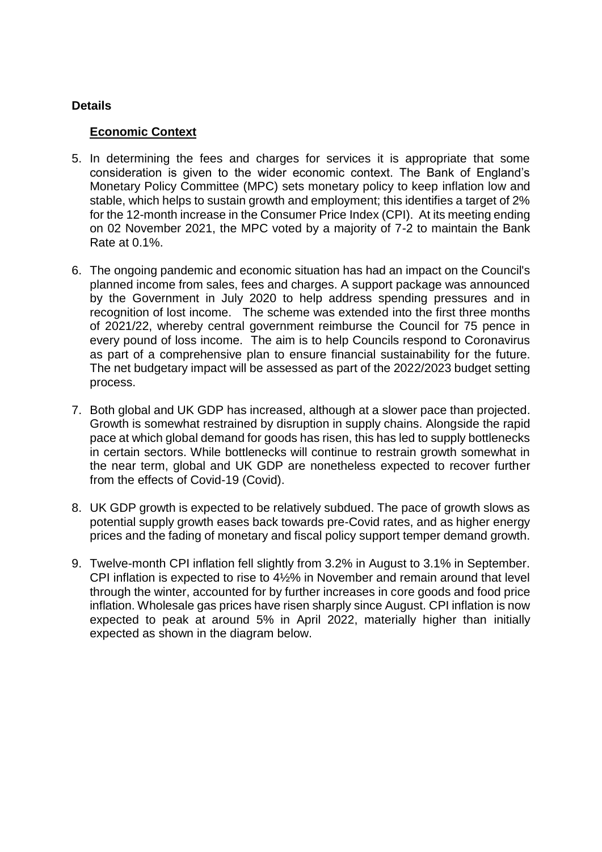## **Details**

## **Economic Context**

- 5. In determining the fees and charges for services it is appropriate that some consideration is given to the wider economic context. The Bank of England's Monetary Policy Committee (MPC) sets monetary policy to keep inflation low and stable, which helps to sustain growth and employment; this identifies a target of 2% for the 12-month increase in the Consumer Price Index (CPI). At its meeting ending on 02 November 2021, the MPC voted by a majority of 7-2 to maintain the Bank Rate at 0.1%.
- 6. The ongoing pandemic and economic situation has had an impact on the Council's planned income from sales, fees and charges. A support package was announced by the Government in July 2020 to help address spending pressures and in recognition of lost income. The scheme was extended into the first three months of 2021/22, whereby central government reimburse the Council for 75 pence in every pound of loss income. The aim is to help Councils respond to Coronavirus as part of a comprehensive plan to ensure financial sustainability for the future. The net budgetary impact will be assessed as part of the 2022/2023 budget setting process.
- 7. Both global and UK GDP has increased, although at a slower pace than projected. Growth is somewhat restrained by disruption in supply chains. Alongside the rapid pace at which global demand for goods has risen, this has led to supply bottlenecks in certain sectors. While bottlenecks will continue to restrain growth somewhat in the near term, global and UK GDP are nonetheless expected to recover further from the effects of Covid-19 (Covid).
- 8. UK GDP growth is expected to be relatively subdued. The pace of growth slows as potential supply growth eases back towards pre-Covid rates, and as higher energy prices and the fading of monetary and fiscal policy support temper demand growth.
- 9. Twelve-month CPI inflation fell slightly from 3.2% in August to 3.1% in September. CPI inflation is expected to rise to 4½% in November and remain around that level through the winter, accounted for by further increases in core goods and food price inflation. Wholesale gas prices have risen sharply since August. CPI inflation is now expected to peak at around 5% in April 2022, materially higher than initially expected as shown in the diagram below.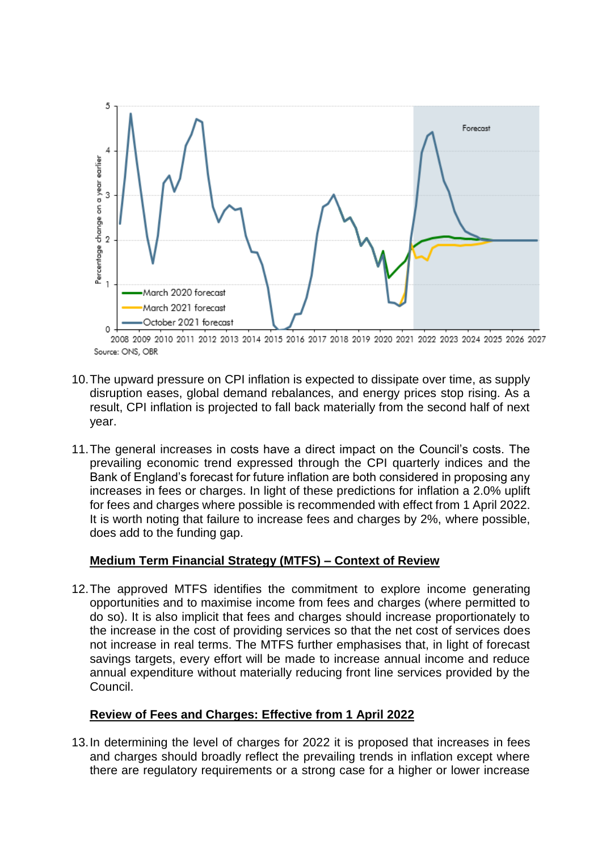

2008 2009 2010 2011 2012 2013 2014 2015 2016 2017 2018 2019 2020 2021 2022 2023 2024 2025 2026 2027 Source: ONS, OBR

- 10.The upward pressure on CPI inflation is expected to dissipate over time, as supply disruption eases, global demand rebalances, and energy prices stop rising. As a result, CPI inflation is projected to fall back materially from the second half of next year.
- 11.The general increases in costs have a direct impact on the Council's costs. The prevailing economic trend expressed through the CPI quarterly indices and the Bank of England's forecast for future inflation are both considered in proposing any increases in fees or charges. In light of these predictions for inflation a 2.0% uplift for fees and charges where possible is recommended with effect from 1 April 2022. It is worth noting that failure to increase fees and charges by 2%, where possible, does add to the funding gap.

### **Medium Term Financial Strategy (MTFS) – Context of Review**

12.The approved MTFS identifies the commitment to explore income generating opportunities and to maximise income from fees and charges (where permitted to do so). It is also implicit that fees and charges should increase proportionately to the increase in the cost of providing services so that the net cost of services does not increase in real terms. The MTFS further emphasises that, in light of forecast savings targets, every effort will be made to increase annual income and reduce annual expenditure without materially reducing front line services provided by the Council.

### **Review of Fees and Charges: Effective from 1 April 2022**

13.In determining the level of charges for 2022 it is proposed that increases in fees and charges should broadly reflect the prevailing trends in inflation except where there are regulatory requirements or a strong case for a higher or lower increase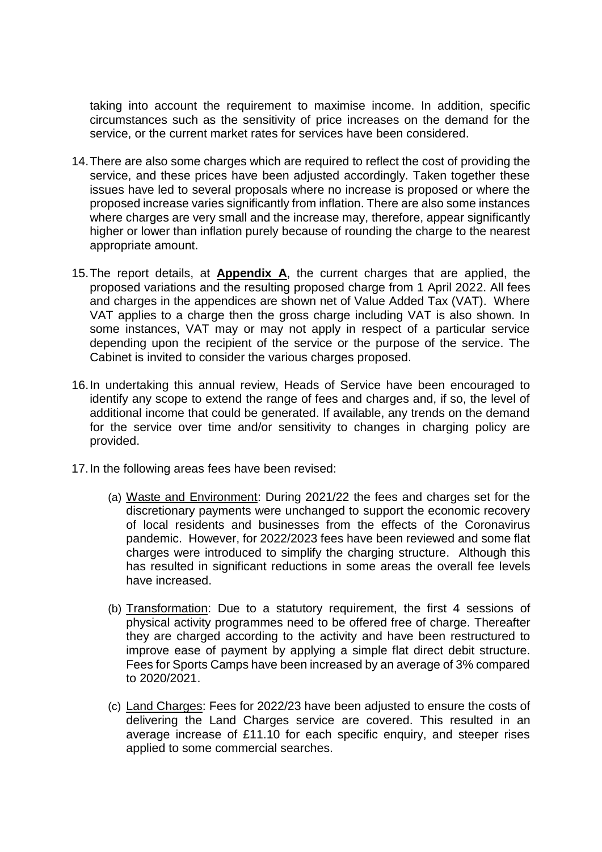taking into account the requirement to maximise income. In addition, specific circumstances such as the sensitivity of price increases on the demand for the service, or the current market rates for services have been considered.

- 14.There are also some charges which are required to reflect the cost of providing the service, and these prices have been adjusted accordingly. Taken together these issues have led to several proposals where no increase is proposed or where the proposed increase varies significantly from inflation. There are also some instances where charges are very small and the increase may, therefore, appear significantly higher or lower than inflation purely because of rounding the charge to the nearest appropriate amount.
- 15.The report details, at **Appendix A**, the current charges that are applied, the proposed variations and the resulting proposed charge from 1 April 2022. All fees and charges in the appendices are shown net of Value Added Tax (VAT). Where VAT applies to a charge then the gross charge including VAT is also shown. In some instances, VAT may or may not apply in respect of a particular service depending upon the recipient of the service or the purpose of the service. The Cabinet is invited to consider the various charges proposed.
- 16.In undertaking this annual review, Heads of Service have been encouraged to identify any scope to extend the range of fees and charges and, if so, the level of additional income that could be generated. If available, any trends on the demand for the service over time and/or sensitivity to changes in charging policy are provided.
- 17.In the following areas fees have been revised:
	- (a) Waste and Environment: During 2021/22 the fees and charges set for the discretionary payments were unchanged to support the economic recovery of local residents and businesses from the effects of the Coronavirus pandemic. However, for 2022/2023 fees have been reviewed and some flat charges were introduced to simplify the charging structure. Although this has resulted in significant reductions in some areas the overall fee levels have increased.
	- (b) Transformation: Due to a statutory requirement, the first 4 sessions of physical activity programmes need to be offered free of charge. Thereafter they are charged according to the activity and have been restructured to improve ease of payment by applying a simple flat direct debit structure. Fees for Sports Camps have been increased by an average of 3% compared to 2020/2021.
	- (c) Land Charges: Fees for 2022/23 have been adjusted to ensure the costs of delivering the Land Charges service are covered. This resulted in an average increase of £11.10 for each specific enquiry, and steeper rises applied to some commercial searches.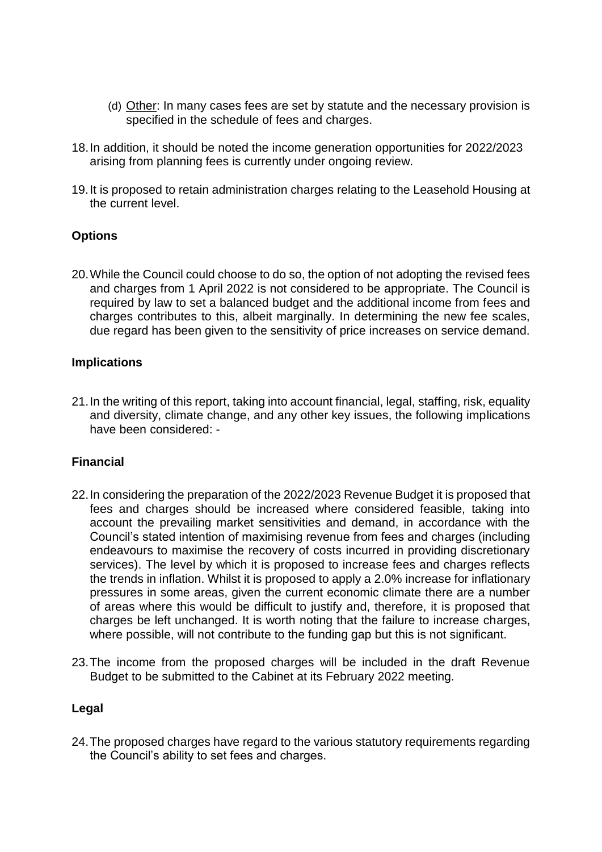- (d) Other: In many cases fees are set by statute and the necessary provision is specified in the schedule of fees and charges.
- 18.In addition, it should be noted the income generation opportunities for 2022/2023 arising from planning fees is currently under ongoing review.
- 19.It is proposed to retain administration charges relating to the Leasehold Housing at the current level.

### **Options**

20.While the Council could choose to do so, the option of not adopting the revised fees and charges from 1 April 2022 is not considered to be appropriate. The Council is required by law to set a balanced budget and the additional income from fees and charges contributes to this, albeit marginally. In determining the new fee scales, due regard has been given to the sensitivity of price increases on service demand.

#### **Implications**

21.In the writing of this report, taking into account financial, legal, staffing, risk, equality and diversity, climate change, and any other key issues, the following implications have been considered: -

### **Financial**

- 22.In considering the preparation of the 2022/2023 Revenue Budget it is proposed that fees and charges should be increased where considered feasible, taking into account the prevailing market sensitivities and demand, in accordance with the Council's stated intention of maximising revenue from fees and charges (including endeavours to maximise the recovery of costs incurred in providing discretionary services). The level by which it is proposed to increase fees and charges reflects the trends in inflation. Whilst it is proposed to apply a 2.0% increase for inflationary pressures in some areas, given the current economic climate there are a number of areas where this would be difficult to justify and, therefore, it is proposed that charges be left unchanged. It is worth noting that the failure to increase charges, where possible, will not contribute to the funding gap but this is not significant.
- 23.The income from the proposed charges will be included in the draft Revenue Budget to be submitted to the Cabinet at its February 2022 meeting.

#### **Legal**

24.The proposed charges have regard to the various statutory requirements regarding the Council's ability to set fees and charges.